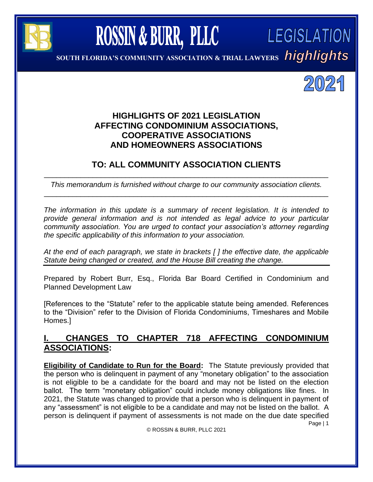

**ROSSIN & BURR, PLLC** 

**SOUTH FLORIDA'S CONDOMINIUM,** 

**SOUTH FLORIDA'S COMMUNITY ASSOCIATION & TRIAL LAWYERS**



LEGISLATION

# **HIGHLIGHTS OF 2021 LEGISLATION AFFECTING CONDOMINIUM ASSOCIATIONS, COOPERATIVE ASSOCIATIONS AND HOMEOWNERS ASSOCIATIONS**

#### **TO: ALL COMMUNITY ASSOCIATION CLIENTS** \_\_\_\_\_\_\_\_\_\_\_\_\_\_\_\_\_\_\_\_\_\_\_\_\_\_\_\_\_\_\_\_\_\_\_\_\_\_\_\_\_\_\_\_\_\_\_\_\_\_\_\_\_\_\_\_\_\_\_\_\_\_\_\_\_\_\_\_\_\_

*This memorandum is furnished without charge to our community association clients.* \_\_\_\_\_\_\_\_\_\_\_\_\_\_\_\_\_\_\_\_\_\_\_\_\_\_\_\_\_\_\_\_\_\_\_\_\_\_\_\_\_\_\_\_\_\_\_\_\_\_\_\_\_\_\_\_\_\_\_\_\_\_\_\_\_\_\_\_\_\_

*The information in this update is a summary of recent legislation. It is intended to provide general information and is not intended as legal advice to your particular community association. You are urged to contact your association's attorney regarding the specific applicability of this information to your association.*

*At the end of each paragraph, we state in brackets [ ] the effective date, the applicable Statute being changed or created, and the House Bill creating the change.*

Prepared by Robert Burr, Esq., Florida Bar Board Certified in Condominium and Planned Development Law

[References to the "Statute" refer to the applicable statute being amended. References to the "Division" refer to the Division of Florida Condominiums, Timeshares and Mobile Homes.]

# **I. CHANGES TO CHAPTER 718 AFFECTING CONDOMINIUM ASSOCIATIONS:**

Page | 1 **Eligibility of Candidate to Run for the Board:** The Statute previously provided that the person who is delinquent in payment of any "monetary obligation" to the association is not eligible to be a candidate for the board and may not be listed on the election ballot. The term "monetary obligation" could include money obligations like fines. In 2021, the Statute was changed to provide that a person who is delinquent in payment of any "assessment" is not eligible to be a candidate and may not be listed on the ballot. A person is delinquent if payment of assessments is not made on the due date specified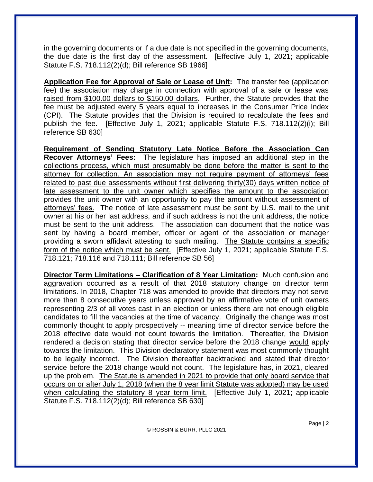in the governing documents or if a due date is not specified in the governing documents, the due date is the first day of the assessment. [Effective July 1, 2021; applicable Statute F.S. 718.112(2)(d); Bill reference SB 1966]

**Application Fee for Approval of Sale or Lease of Unit:** The transfer fee (application fee) the association may charge in connection with approval of a sale or lease was raised from \$100.00 dollars to \$150.00 dollars. Further, the Statute provides that the fee must be adjusted every 5 years equal to increases in the Consumer Price Index (CPI). The Statute provides that the Division is required to recalculate the fees and publish the fee. [Effective July 1, 2021; applicable Statute F.S. 718.112(2)(i); Bill reference SB 630]

**Requirement of Sending Statutory Late Notice Before the Association Can Recover Attorneys' Fees:** The legislature has imposed an additional step in the collections process, which must presumably be done before the matter is sent to the attorney for collection. An association may not require payment of attorneys' fees related to past due assessments without first delivering thirty(30) days written notice of late assessment to the unit owner which specifies the amount to the association provides the unit owner with an opportunity to pay the amount without assessment of attorneys' fees. The notice of late assessment must be sent by U.S. mail to the unit owner at his or her last address, and if such address is not the unit address, the notice must be sent to the unit address. The association can document that the notice was sent by having a board member, officer or agent of the association or manager providing a sworn affidavit attesting to such mailing. The Statute contains a specific form of the notice which must be sent. [Effective July 1, 2021; applicable Statute F.S. 718.121; 718.116 and 718.111; Bill reference SB 56]

**Director Term Limitations – Clarification of 8 Year Limitation:** Much confusion and aggravation occurred as a result of that 2018 statutory change on director term limitations. In 2018, Chapter 718 was amended to provide that directors may not serve more than 8 consecutive years unless approved by an affirmative vote of unit owners representing 2/3 of all votes cast in an election or unless there are not enough eligible candidates to fill the vacancies at the time of vacancy. Originally the change was most commonly thought to apply prospectively -- meaning time of director service before the 2018 effective date would not count towards the limitation. Thereafter, the Division rendered a decision stating that director service before the 2018 change would apply towards the limitation. This Division declaratory statement was most commonly thought to be legally incorrect. The Division thereafter backtracked and stated that director service before the 2018 change would not count. The legislature has, in 2021, cleared up the problem. The Statute is amended in 2021 to provide that only board service that occurs on or after July 1, 2018 (when the 8 year limit Statute was adopted) may be used when calculating the statutory 8 year term limit. [Effective July 1, 2021; applicable Statute F.S. 718.112(2)(d); Bill reference SB 630]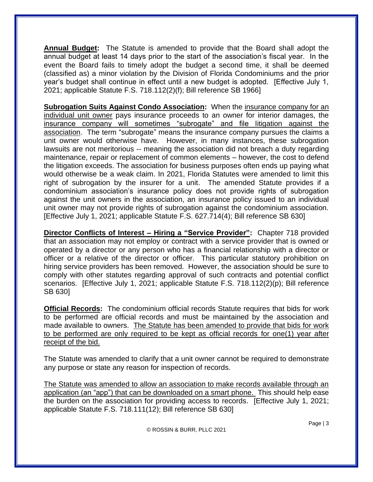**Annual Budget:** The Statute is amended to provide that the Board shall adopt the annual budget at least 14 days prior to the start of the association's fiscal year. In the event the Board fails to timely adopt the budget a second time, it shall be deemed (classified as) a minor violation by the Division of Florida Condominiums and the prior year's budget shall continue in effect until a new budget is adopted. [Effective July 1, 2021; applicable Statute F.S. 718.112(2)(f); Bill reference SB 1966]

**Subrogation Suits Against Condo Association:** When the insurance company for an individual unit owner pays insurance proceeds to an owner for interior damages, the insurance company will sometimes "subrogate" and file litigation against the association. The term "subrogate" means the insurance company pursues the claims a unit owner would otherwise have. However, in many instances, these subrogation lawsuits are not meritorious -- meaning the association did not breach a duty regarding maintenance, repair or replacement of common elements – however, the cost to defend the litigation exceeds. The association for business purposes often ends up paying what would otherwise be a weak claim. In 2021, Florida Statutes were amended to limit this right of subrogation by the insurer for a unit. The amended Statute provides if a condominium association's insurance policy does not provide rights of subrogation against the unit owners in the association, an insurance policy issued to an individual unit owner may not provide rights of subrogation against the condominium association. [Effective July 1, 2021; applicable Statute F.S. 627.714(4); Bill reference SB 630]

**Director Conflicts of Interest – Hiring a "Service Provider":** Chapter 718 provided that an association may not employ or contract with a service provider that is owned or operated by a director or any person who has a financial relationship with a director or officer or a relative of the director or officer. This particular statutory prohibition on hiring service providers has been removed. However, the association should be sure to comply with other statutes regarding approval of such contracts and potential conflict scenarios. [Effective July 1, 2021; applicable Statute F.S. 718.112(2)(p); Bill reference SB 630]

**Official Records:** The condominium official records Statute requires that bids for work to be performed are official records and must be maintained by the association and made available to owners. The Statute has been amended to provide that bids for work to be performed are only required to be kept as official records for one(1) year after receipt of the bid.

The Statute was amended to clarify that a unit owner cannot be required to demonstrate any purpose or state any reason for inspection of records.

The Statute was amended to allow an association to make records available through an application (an "app") that can be downloaded on a smart phone. This should help ease the burden on the association for providing access to records. [Effective July 1, 2021; applicable Statute F.S. 718.111(12); Bill reference SB 630]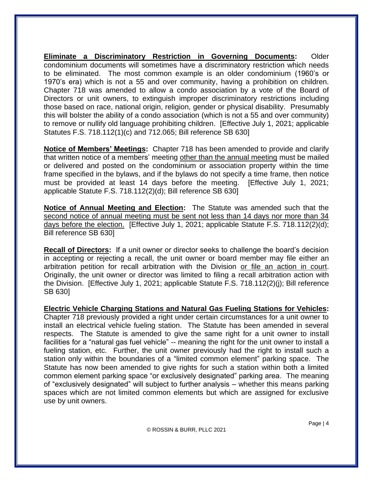**Eliminate a Discriminatory Restriction in Governing Documents:** Older condominium documents will sometimes have a discriminatory restriction which needs to be eliminated. The most common example is an older condominium (1960's or 1970's era) which is not a 55 and over community, having a prohibition on children. Chapter 718 was amended to allow a condo association by a vote of the Board of Directors or unit owners, to extinguish improper discriminatory restrictions including those based on race, national origin, religion, gender or physical disability. Presumably this will bolster the ability of a condo association (which is not a 55 and over community) to remove or nullify old language prohibiting children. [Effective July 1, 2021; applicable Statutes F.S. 718.112(1)(c) and 712.065; Bill reference SB 630]

**Notice of Members' Meetings:** Chapter 718 has been amended to provide and clarify that written notice of a members' meeting other than the annual meeting must be mailed or delivered and posted on the condominium or association property within the time frame specified in the bylaws, and if the bylaws do not specify a time frame, then notice must be provided at least 14 days before the meeting. [Effective July 1, 2021; applicable Statute F.S. 718.112(2)(d); Bill reference SB 630]

**Notice of Annual Meeting and Election:** The Statute was amended such that the second notice of annual meeting must be sent not less than 14 days nor more than 34 days before the election. [Effective July 1, 2021; applicable Statute F.S. 718.112(2)(d); Bill reference SB 630]

**Recall of Directors:** If a unit owner or director seeks to challenge the board's decision in accepting or rejecting a recall, the unit owner or board member may file either an arbitration petition for recall arbitration with the Division or file an action in court. Originally, the unit owner or director was limited to filing a recall arbitration action with the Division. [Effective July 1, 2021; applicable Statute F.S. 718.112(2)(j); Bill reference SB 630]

**Electric Vehicle Charging Stations and Natural Gas Fueling Stations for Vehicles:**  Chapter 718 previously provided a right under certain circumstances for a unit owner to install an electrical vehicle fueling station. The Statute has been amended in several respects. The Statute is amended to give the same right for a unit owner to install facilities for a "natural gas fuel vehicle" -- meaning the right for the unit owner to install a fueling station, etc. Further, the unit owner previously had the right to install such a station only within the boundaries of a "limited common element" parking space. The Statute has now been amended to give rights for such a station within both a limited common element parking space "or exclusively designated" parking area. The meaning of "exclusively designated" will subject to further analysis – whether this means parking spaces which are not limited common elements but which are assigned for exclusive use by unit owners.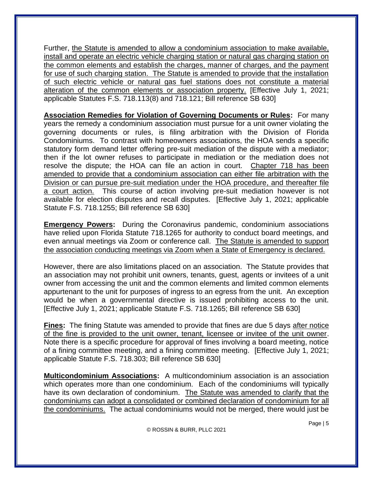Further, the Statute is amended to allow a condominium association to make available, install and operate an electric vehicle charging station or natural gas charging station on the common elements and establish the charges, manner of charges, and the payment for use of such charging station. The Statute is amended to provide that the installation of such electric vehicle or natural gas fuel stations does not constitute a material alteration of the common elements or association property. [Effective July 1, 2021; applicable Statutes F.S. 718.113(8) and 718.121; Bill reference SB 630]

**Association Remedies for Violation of Governing Documents or Rules:** For many years the remedy a condominium association must pursue for a unit owner violating the governing documents or rules, is filing arbitration with the Division of Florida Condominiums. To contrast with homeowners associations, the HOA sends a specific statutory form demand letter offering pre-suit mediation of the dispute with a mediator; then if the lot owner refuses to participate in mediation or the mediation does not resolve the dispute; the HOA can file an action in court. Chapter 718 has been amended to provide that a condominium association can either file arbitration with the Division or can pursue pre-suit mediation under the HOA procedure, and thereafter file a court action. This course of action involving pre-suit mediation however is not available for election disputes and recall disputes. [Effective July 1, 2021; applicable Statute F.S. 718.1255; Bill reference SB 630]

**Emergency Powers:** During the Coronavirus pandemic, condominium associations have relied upon Florida Statute 718.1265 for authority to conduct board meetings, and even annual meetings via Zoom or conference call. The Statute is amended to support the association conducting meetings via Zoom when a State of Emergency is declared.

However, there are also limitations placed on an association. The Statute provides that an association may not prohibit unit owners, tenants, guest, agents or invitees of a unit owner from accessing the unit and the common elements and limited common elements appurtenant to the unit for purposes of ingress to an egress from the unit. An exception would be when a governmental directive is issued prohibiting access to the unit. [Effective July 1, 2021; applicable Statute F.S. 718.1265; Bill reference SB 630]

**Fines:** The fining Statute was amended to provide that fines are due 5 days after notice of the fine is provided to the unit owner, tenant, licensee or invitee of the unit owner. Note there is a specific procedure for approval of fines involving a board meeting, notice of a fining committee meeting, and a fining committee meeting. [Effective July 1, 2021; applicable Statute F.S. 718.303; Bill reference SB 630]

**Multicondominium Associations:** A multicondominium association is an association which operates more than one condominium. Each of the condominiums will typically have its own declaration of condominium. The Statute was amended to clarify that the condominiums can adopt a consolidated or combined declaration of condominium for all the condominiums. The actual condominiums would not be merged, there would just be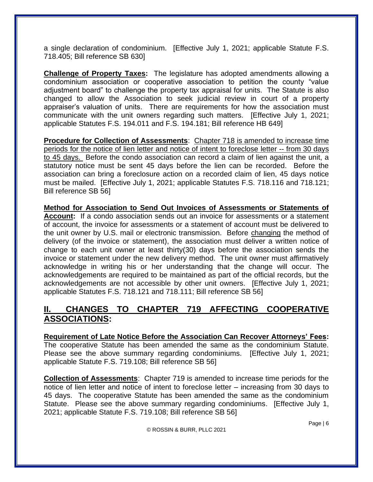a single declaration of condominium. [Effective July 1, 2021; applicable Statute F.S. 718.405; Bill reference SB 630]

**Challenge of Property Taxes:** The legislature has adopted amendments allowing a condominium association or cooperative association to petition the county "value adjustment board" to challenge the property tax appraisal for units. The Statute is also changed to allow the Association to seek judicial review in court of a property appraiser's valuation of units. There are requirements for how the association must communicate with the unit owners regarding such matters. [Effective July 1, 2021; applicable Statutes F.S. 194.011 and F.S. 194.181; Bill reference HB 649]

**Procedure for Collection of Assessments**: Chapter 718 is amended to increase time periods for the notice of lien letter and notice of intent to foreclose letter -- from 30 days to 45 days. Before the condo association can record a claim of lien against the unit, a statutory notice must be sent 45 days before the lien can be recorded. Before the association can bring a foreclosure action on a recorded claim of lien, 45 days notice must be mailed. [Effective July 1, 2021; applicable Statutes F.S. 718.116 and 718.121; Bill reference SB 56]

**Method for Association to Send Out Invoices of Assessments or Statements of Account:** If a condo association sends out an invoice for assessments or a statement of account, the invoice for assessments or a statement of account must be delivered to the unit owner by U.S. mail or electronic transmission. Before changing the method of delivery (of the invoice or statement), the association must deliver a written notice of change to each unit owner at least thirty(30) days before the association sends the invoice or statement under the new delivery method. The unit owner must affirmatively acknowledge in writing his or her understanding that the change will occur. The acknowledgements are required to be maintained as part of the official records, but the acknowledgements are not accessible by other unit owners. [Effective July 1, 2021; applicable Statutes F.S. 718.121 and 718.111; Bill reference SB 56]

#### **II. CHANGES TO CHAPTER 719 AFFECTING COOPERATIVE ASSOCIATIONS:**

**Requirement of Late Notice Before the Association Can Recover Attorneys' Fees:**  The cooperative Statute has been amended the same as the condominium Statute. Please see the above summary regarding condominiums. [Effective July 1, 2021; applicable Statute F.S. 719.108; Bill reference SB 56]

**Collection of Assessments**: Chapter 719 is amended to increase time periods for the notice of lien letter and notice of intent to foreclose letter – increasing from 30 days to 45 days. The cooperative Statute has been amended the same as the condominium Statute. Please see the above summary regarding condominiums. [Effective July 1, 2021; applicable Statute F.S. 719.108; Bill reference SB 56]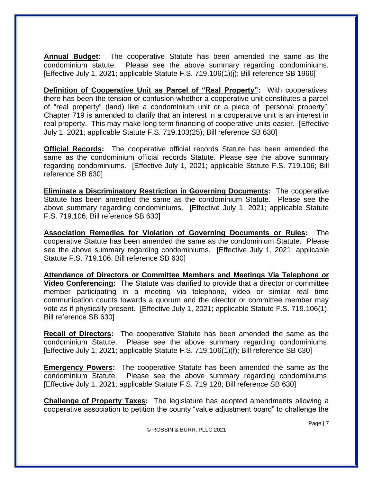**Annual Budget:** The cooperative Statute has been amended the same as the condominium statute. Please see the above summary regarding condominiums. [Effective July 1, 2021; applicable Statute F.S. 719.106(1)(j); Bill reference SB 1966]

**Definition of Cooperative Unit as Parcel of "Real Property":** With cooperatives, there has been the tension or confusion whether a cooperative unit constitutes a parcel of "real property" (land) like a condominium unit or a piece of "personal property". Chapter 719 is amended to clarify that an interest in a cooperative unit is an interest in real property. This may make long term financing of cooperative units easier. [Effective July 1, 2021; applicable Statute F.S. 719.103(25); Bill reference SB 630]

**Official Records:** The cooperative official records Statute has been amended the same as the condominium official records Statute. Please see the above summary regarding condominiums. [Effective July 1, 2021; applicable Statute F.S. 719.106; Bill reference SB 630]

**Eliminate a Discriminatory Restriction in Governing Documents:** The cooperative Statute has been amended the same as the condominium Statute. Please see the above summary regarding condominiums. [Effective July 1, 2021; applicable Statute F.S. 719.106; Bill reference SB 630]

**Association Remedies for Violation of Governing Documents or Rules:** The cooperative Statute has been amended the same as the condominium Statute. Please see the above summary regarding condominiums. [Effective July 1, 2021; applicable Statute F.S. 719.106; Bill reference SB 630]

**Attendance of Directors or Committee Members and Meetings Via Telephone or Video Conferencing:** The Statute was clarified to provide that a director or committee member participating in a meeting via telephone, video or similar real time communication counts towards a quorum and the director or committee member may vote as if physically present. [Effective July 1, 2021; applicable Statute F.S. 719.106(1); Bill reference SB 630]

**Recall of Directors:** The cooperative Statute has been amended the same as the condominium Statute. Please see the above summary regarding condominiums. [Effective July 1, 2021; applicable Statute F.S. 719.106(1)(f); Bill reference SB 630]

**Emergency Powers:** The cooperative Statute has been amended the same as the condominium Statute. Please see the above summary regarding condominiums. [Effective July 1, 2021; applicable Statute F.S. 719.128; Bill reference SB 630]

**Challenge of Property Taxes:** The legislature has adopted amendments allowing a cooperative association to petition the county "value adjustment board" to challenge the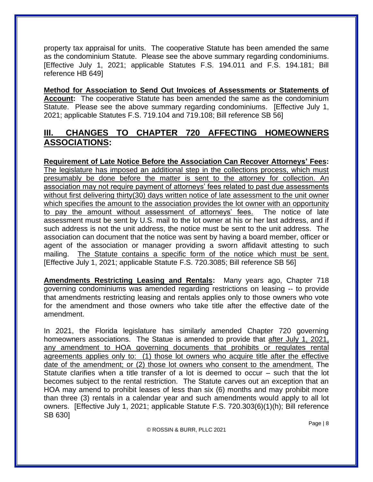property tax appraisal for units. The cooperative Statute has been amended the same as the condominium Statute. Please see the above summary regarding condominiums. [Effective July 1, 2021; applicable Statutes F.S. 194.011 and F.S. 194.181; Bill reference HB 649]

**Method for Association to Send Out Invoices of Assessments or Statements of Account:** The cooperative Statute has been amended the same as the condominium Statute. Please see the above summary regarding condominiums. [Effective July 1, 2021; applicable Statutes F.S. 719.104 and 719.108; Bill reference SB 56]

# **III. CHANGES TO CHAPTER 720 AFFECTING HOMEOWNERS ASSOCIATIONS:**

**Requirement of Late Notice Before the Association Can Recover Attorneys' Fees:**  The legislature has imposed an additional step in the collections process, which must presumably be done before the matter is sent to the attorney for collection. An association may not require payment of attorneys' fees related to past due assessments without first delivering thirty(30) days written notice of late assessment to the unit owner which specifies the amount to the association provides the lot owner with an opportunity to pay the amount without assessment of attorneys' fees. The notice of late assessment must be sent by U.S. mail to the lot owner at his or her last address, and if such address is not the unit address, the notice must be sent to the unit address. The association can document that the notice was sent by having a board member, officer or agent of the association or manager providing a sworn affidavit attesting to such mailing. The Statute contains a specific form of the notice which must be sent. [Effective July 1, 2021; applicable Statute F.S. 720.3085; Bill reference SB 56]

**Amendments Restricting Leasing and Rentals:** Many years ago, Chapter 718 governing condominiums was amended regarding restrictions on leasing -- to provide that amendments restricting leasing and rentals applies only to those owners who vote for the amendment and those owners who take title after the effective date of the amendment.

In 2021, the Florida legislature has similarly amended Chapter 720 governing homeowners associations. The Statue is amended to provide that after July 1, 2021, any amendment to HOA governing documents that prohibits or regulates rental agreements applies only to: (1) those lot owners who acquire title after the effective date of the amendment; or (2) those lot owners who consent to the amendment. The Statute clarifies when a title transfer of a lot is deemed to occur – such that the lot becomes subject to the rental restriction. The Statute carves out an exception that an HOA may amend to prohibit leases of less than six (6) months and may prohibit more than three (3) rentals in a calendar year and such amendments would apply to all lot owners. [Effective July 1, 2021; applicable Statute F.S. 720.303(6)(1)(h); Bill reference SB 630]

© ROSSIN & BURR, PLLC 2021

Page | 8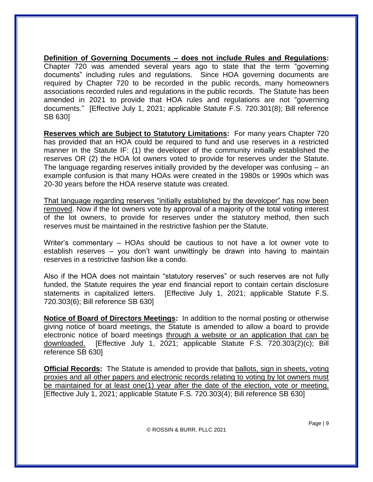**Definition of Governing Documents – does not include Rules and Regulations:** Chapter 720 was amended several years ago to state that the term "governing documents" including rules and regulations. Since HOA governing documents are required by Chapter 720 to be recorded in the public records, many homeowners associations recorded rules and regulations in the public records. The Statute has been amended in 2021 to provide that HOA rules and regulations are not "governing documents." [Effective July 1, 2021; applicable Statute F.S. 720.301(8); Bill reference SB 630]

**Reserves which are Subject to Statutory Limitations:** For many years Chapter 720 has provided that an HOA could be required to fund and use reserves in a restricted manner in the Statute IF: (1) the developer of the community initially established the reserves OR (2) the HOA lot owners voted to provide for reserves under the Statute. The language regarding reserves initially provided by the developer was confusing – an example confusion is that many HOAs were created in the 1980s or 1990s which was 20-30 years before the HOA reserve statute was created.

That language regarding reserves "initially established by the developer" has now been removed. Now if the lot owners vote by approval of a majority of the total voting interest of the lot owners, to provide for reserves under the statutory method, then such reserves must be maintained in the restrictive fashion per the Statute.

Writer's commentary – HOAs should be cautious to not have a lot owner vote to establish reserves – you don't want unwittingly be drawn into having to maintain reserves in a restrictive fashion like a condo.

Also if the HOA does not maintain "statutory reserves" or such reserves are not fully funded, the Statute requires the year end financial report to contain certain disclosure statements in capitalized letters. [Effective July 1, 2021; applicable Statute F.S. 720.303(6); Bill reference SB 630]

**Notice of Board of Directors Meetings:** In addition to the normal posting or otherwise giving notice of board meetings, the Statute is amended to allow a board to provide electronic notice of board meetings through a website or an application that can be downloaded. [Effective July 1, 2021; applicable Statute F.S. 720.303(2)(c); Bill reference SB 630]

**Official Records:** The Statute is amended to provide that ballots, sign in sheets, voting proxies and all other papers and electronic records relating to voting by lot owners must be maintained for at least one(1) year after the date of the election, vote or meeting. [Effective July 1, 2021; applicable Statute F.S. 720.303(4); Bill reference SB 630]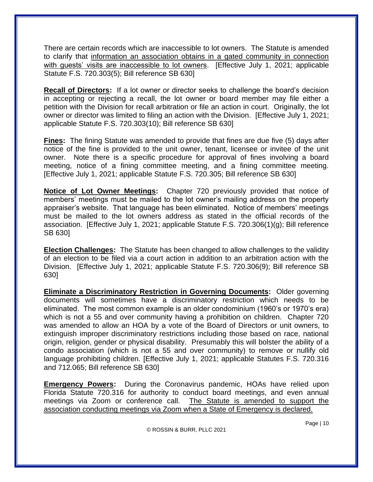There are certain records which are inaccessible to lot owners. The Statute is amended to clarify that information an association obtains in a gated community in connection with guests' visits are inaccessible to lot owners. [Effective July 1, 2021; applicable Statute F.S. 720.303(5); Bill reference SB 630]

**Recall of Directors:** If a lot owner or director seeks to challenge the board's decision in accepting or rejecting a recall, the lot owner or board member may file either a petition with the Division for recall arbitration or file an action in court. Originally, the lot owner or director was limited to filing an action with the Division. [Effective July 1, 2021; applicable Statute F.S. 720.303(10); Bill reference SB 630]

**Fines:** The fining Statute was amended to provide that fines are due five (5) days after notice of the fine is provided to the unit owner, tenant, licensee or invitee of the unit owner. Note there is a specific procedure for approval of fines involving a board meeting, notice of a fining committee meeting, and a fining committee meeting. [Effective July 1, 2021; applicable Statute F.S. 720.305; Bill reference SB 630]

**Notice of Lot Owner Meetings:** Chapter 720 previously provided that notice of members' meetings must be mailed to the lot owner's mailing address on the property appraiser's website. That language has been eliminated. Notice of members' meetings must be mailed to the lot owners address as stated in the official records of the association. [Effective July 1, 2021; applicable Statute F.S. 720.306(1)(g); Bill reference SB 630]

**Election Challenges:** The Statute has been changed to allow challenges to the validity of an election to be filed via a court action in addition to an arbitration action with the Division. [Effective July 1, 2021; applicable Statute F.S. 720.306(9); Bill reference SB 630]

**Eliminate a Discriminatory Restriction in Governing Documents:** Older governing documents will sometimes have a discriminatory restriction which needs to be eliminated. The most common example is an older condominium (1960's or 1970's era) which is not a 55 and over community having a prohibition on children. Chapter 720 was amended to allow an HOA by a vote of the Board of Directors or unit owners, to extinguish improper discriminatory restrictions including those based on race, national origin, religion, gender or physical disability. Presumably this will bolster the ability of a condo association (which is not a 55 and over community) to remove or nullify old language prohibiting children. [Effective July 1, 2021; applicable Statutes F.S. 720.316 and 712.065; Bill reference SB 630]

**Emergency Powers:** During the Coronavirus pandemic, HOAs have relied upon Florida Statute 720.316 for authority to conduct board meetings, and even annual meetings via Zoom or conference call. The Statute is amended to support the association conducting meetings via Zoom when a State of Emergency is declared.

© ROSSIN & BURR, PLLC 2021

Page | 10